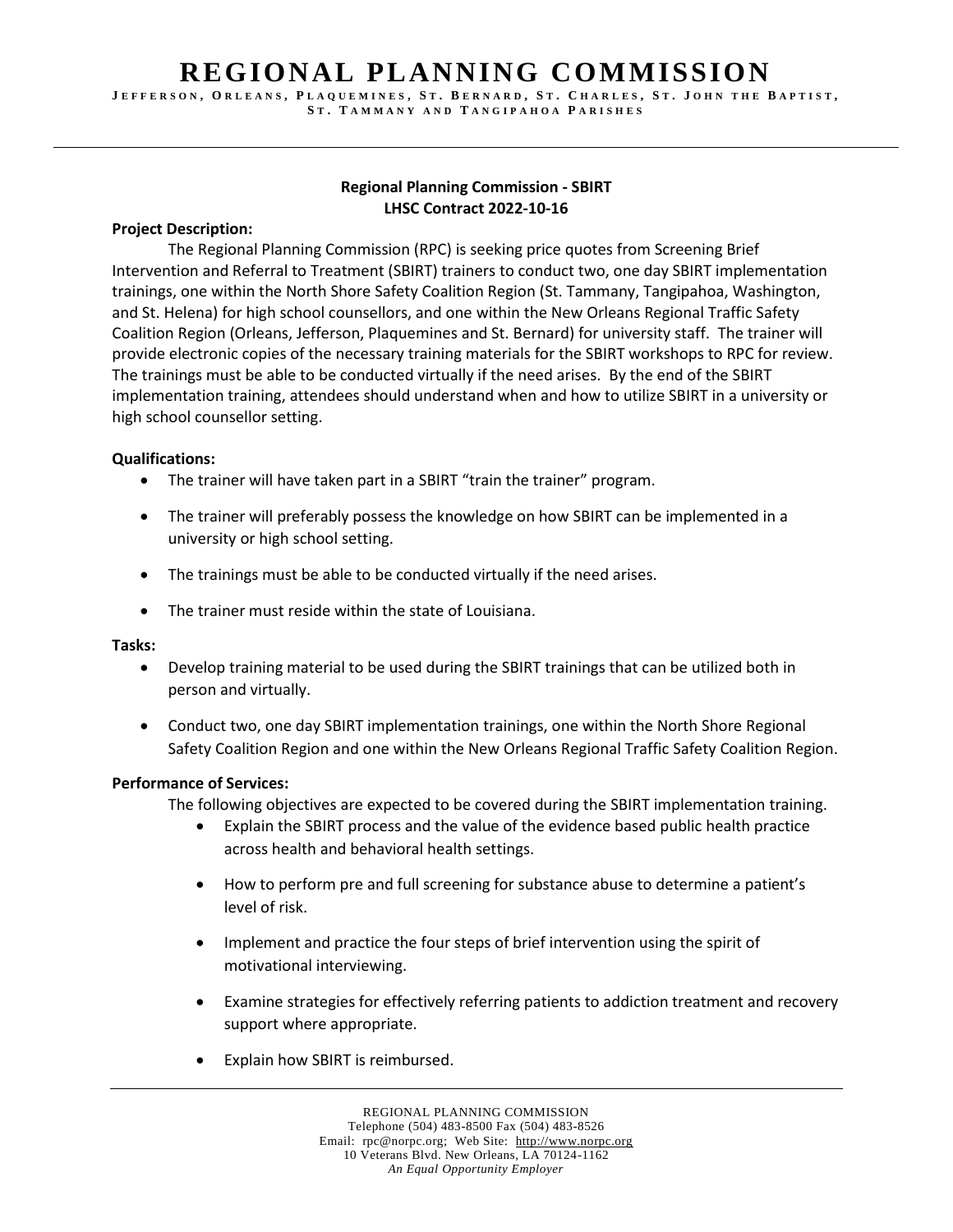## **REGIONAL PLANNING COMMISSION**

JEFFERSON, ORLEANS, PLAQUEMINES, ST. BERNARD, ST. CHARLES, ST. JOHN THE BAPTIST, **S T . T A M M A N Y A N D T A N G I P A H O A P A R I S H E S**

## **Regional Planning Commission - SBIRT LHSC Contract 2022-10-16**

## **Project Description:**

The Regional Planning Commission (RPC) is seeking price quotes from Screening Brief Intervention and Referral to Treatment (SBIRT) trainers to conduct two, one day SBIRT implementation trainings, one within the North Shore Safety Coalition Region (St. Tammany, Tangipahoa, Washington, and St. Helena) for high school counsellors, and one within the New Orleans Regional Traffic Safety Coalition Region (Orleans, Jefferson, Plaquemines and St. Bernard) for university staff. The trainer will provide electronic copies of the necessary training materials for the SBIRT workshops to RPC for review. The trainings must be able to be conducted virtually if the need arises. By the end of the SBIRT implementation training, attendees should understand when and how to utilize SBIRT in a university or high school counsellor setting.

## **Qualifications:**

- The trainer will have taken part in a SBIRT "train the trainer" program.
- The trainer will preferably possess the knowledge on how SBIRT can be implemented in a university or high school setting.
- The trainings must be able to be conducted virtually if the need arises.
- The trainer must reside within the state of Louisiana.

### **Tasks:**

- Develop training material to be used during the SBIRT trainings that can be utilized both in person and virtually.
- Conduct two, one day SBIRT implementation trainings, one within the North Shore Regional Safety Coalition Region and one within the New Orleans Regional Traffic Safety Coalition Region.

### **Performance of Services:**

The following objectives are expected to be covered during the SBIRT implementation training.

- Explain the SBIRT process and the value of the evidence based public health practice across health and behavioral health settings.
- How to perform pre and full screening for substance abuse to determine a patient's level of risk.
- Implement and practice the four steps of brief intervention using the spirit of motivational interviewing.
- Examine strategies for effectively referring patients to addiction treatment and recovery support where appropriate.
- Explain how SBIRT is reimbursed.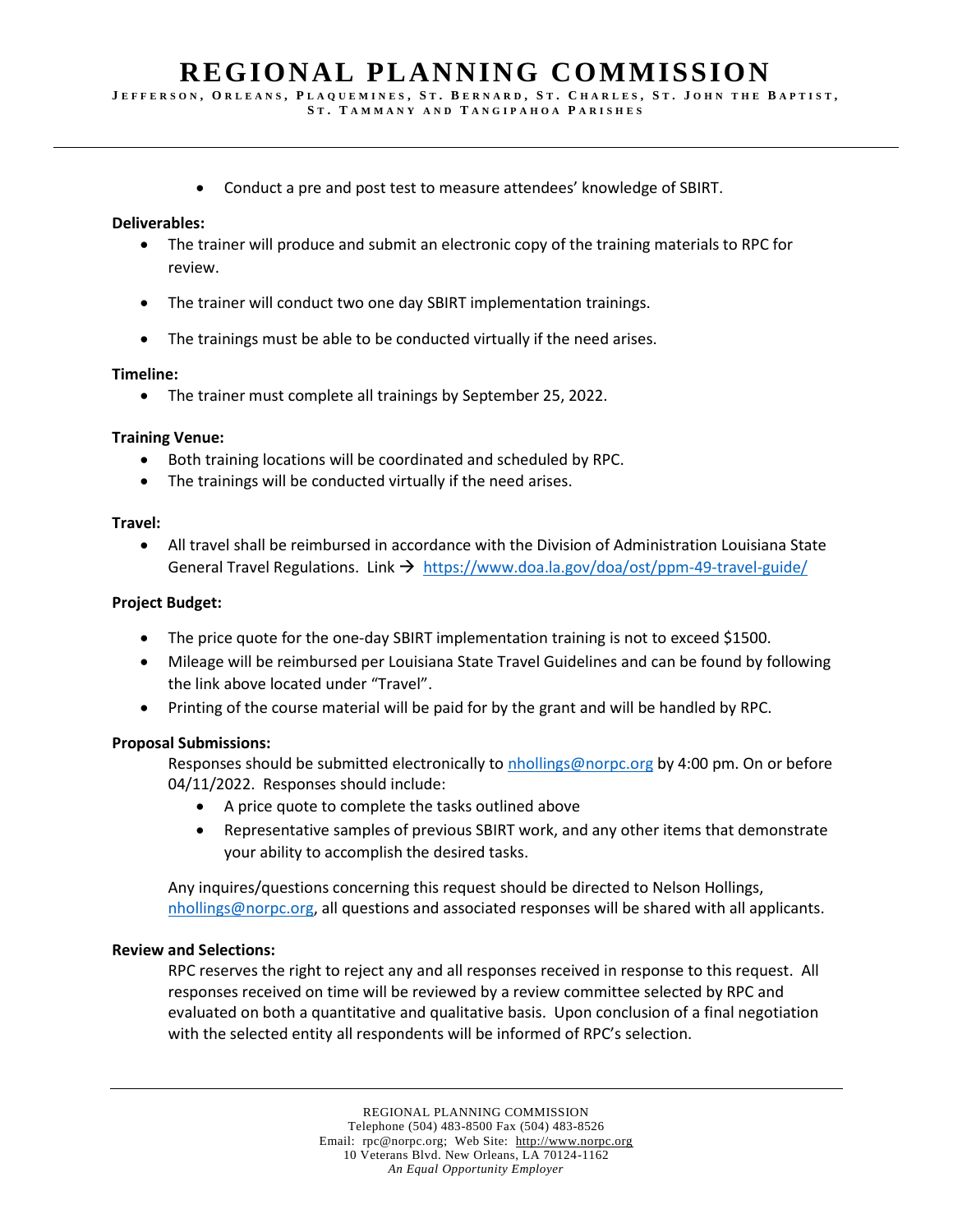# **REGIONAL PLANNING COMMISSION**

JEFFERSON, ORLEANS, PLAQUEMINES, ST. BERNARD, ST. CHARLES, ST. JOHN THE BAPTIST,

- **S T . T A M M A N Y A N D T A N G I P A H O A P A R I S H E S**
- Conduct a pre and post test to measure attendees' knowledge of SBIRT.

#### **Deliverables:**

- The trainer will produce and submit an electronic copy of the training materials to RPC for review.
- The trainer will conduct two one day SBIRT implementation trainings.
- The trainings must be able to be conducted virtually if the need arises.

#### **Timeline:**

• The trainer must complete all trainings by September 25, 2022.

#### **Training Venue:**

- Both training locations will be coordinated and scheduled by RPC.
- The trainings will be conducted virtually if the need arises.

#### **Travel:**

• All travel shall be reimbursed in accordance with the Division of Administration Louisiana State General Travel Regulations. Link  $\rightarrow$  <https://www.doa.la.gov/doa/ost/ppm-49-travel-guide/>

#### **Project Budget:**

- The price quote for the one-day SBIRT implementation training is not to exceed \$1500.
- Mileage will be reimbursed per Louisiana State Travel Guidelines and can be found by following the link above located under "Travel".
- Printing of the course material will be paid for by the grant and will be handled by RPC.

### **Proposal Submissions:**

Responses should be submitted electronically to [nhollings@norpc.org](mailto:nhollings@norpc.org) by 4:00 pm. On or before 04/11/2022. Responses should include:

- A price quote to complete the tasks outlined above
- Representative samples of previous SBIRT work, and any other items that demonstrate your ability to accomplish the desired tasks.

Any inquires/questions concerning this request should be directed to Nelson Hollings, [nhollings@norpc.org,](mailto:nhollings@norpc.org) all questions and associated responses will be shared with all applicants.

#### **Review and Selections:**

RPC reserves the right to reject any and all responses received in response to this request. All responses received on time will be reviewed by a review committee selected by RPC and evaluated on both a quantitative and qualitative basis. Upon conclusion of a final negotiation with the selected entity all respondents will be informed of RPC's selection.